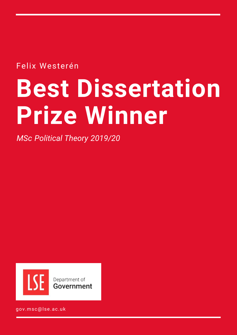Felix Westerén

# **Best Dissertation Prize Winner**

*MSc Political Theory 2019/20*



gov.msc@lse.ac.uk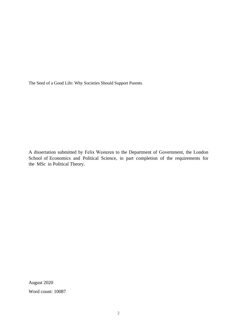The Seed of a Good Life: Why Societies Should Support Parents

A dissertation submitted by Felix Westeren to the Department of Government, the London School of Economics and Political Science, in part completion of the requirements for the MSc in Political Theory.

August 2020

Word count: 10087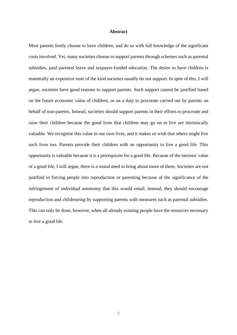## **Abstract**

Most parents freely choose to have children, and do so with full knowledge of the significant costs involved. Yet, many societies choose to support parents through schemes such as parental subsidies, paid parental leave and taxpayer-funded education. The desire to have children is essentially an expensive taste of the kind societies usually do not support. In spite of this, I will argue, societies have good reasons to support parents. Such support cannot be justified based on the future economic value of children, or on a duty to procreate carried out by parents on behalf of non-parents. Instead, societies should support parents in their efforts to procreate and raise their children because the good lives that children may go on to live are intrinsically valuable. We recognise this value in our own lives, and it makes us wish that others might live such lives too. Parents provide their children with an opportunity to live a good life. This opportunity is valuable because it is a prerequisite for a good life. Because of the intrinsic value of a good life, I will argue, there is a moral need to bring about more of them. Societies are not justified in forcing people into reproduction or parenting because of the significance of the infringement of individual autonomy that this would entail. Instead, they should encourage reproduction and childrearing by supporting parents with measures such as parental subsidies. This can only be done, however, when all already existing people have the resources necessary to live a good life.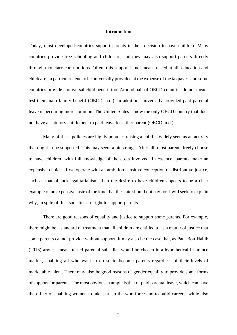### **Introduction**

Today, most developed countries support parents in their decision to have children. Many countries provide free schooling and childcare, and they may also support parents directly through monetary contributions. Often, this support is not means-tested at all; education and childcare, in particular, tend to be universally provided at the expense of the taxpayer, and some countries provide a universal child benefit too. Around half of OECD countries do not means test their main family benefit (OECD, n.d.). In addition, universally provided paid parental leave is becoming more common. The United States is now the only OECD country that does not have a statutory entitlement to paid leave for either parent (OECD, n.d.).

Many of these policies are highly popular; raising a child is widely seen as an activity that ought to be supported. This may seem a bit strange. After all, most parents freely choose to have children, with full knowledge of the costs involved. In essence, parents make an expensive choice. If we operate with an ambition-sensitive conception of distributive justice, such as that of luck egalitarianism, then the desire to have children appears to be a clear example of an expensive taste of the kind that the state should not pay for. I will seek to explain why, in spite of this, societies are right to support parents.

There are good reasons of equality and justice to support some parents. For example, there might be a standard of treatment that all children are entitled to as a matter of justice that some parents cannot provide without support. It may also be the case that, as Paul Bou-Habib (2013) argues, means-tested parental subsidies would be chosen in a hypothetical insurance market, enabling all who want to do so to become parents regardless of their levels of marketable talent. There may also be good reasons of gender equality to provide some forms of support for parents. The most obvious example is that of paid parental leave, which can have the effect of enabling women to take part in the workforce and to build careers, while also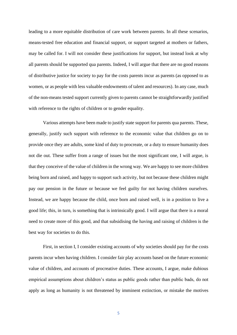leading to a more equitable distribution of care work between parents. In all these scenarios, means-tested free education and financial support, or support targeted at mothers or fathers, may be called for. I will not consider these justifications for support, but instead look at why all parents should be supported qua parents. Indeed, I will argue that there are no good reasons of distributive justice for society to pay for the costs parents incur as parents (as opposed to as women, or as people with less valuable endowments of talent and resources). In any case, much of the non-means tested support currently given to parents cannot be straightforwardly justified with reference to the rights of children or to gender equality.

Various attempts have been made to justify state support for parents qua parents. These, generally, justify such support with reference to the economic value that children go on to provide once they are adults, some kind of duty to procreate, or a duty to ensure humanity does not die out. These suffer from a range of issues but the most significant one, I will argue, is that they conceive of the value of children in the wrong way. We are happy to see more children being born and raised, and happy to support such activity, but not because these children might pay our pension in the future or because we feel guilty for not having children ourselves. Instead, we are happy because the child, once born and raised well, is in a position to live a good life; this, in turn, is something that is intrinsically good. I will argue that there is a moral need to create more of this good, and that subsidising the having and raising of children is the best way for societies to do this.

First, in section I, I consider existing accounts of why societies should pay for the costs parents incur when having children. I consider fair play accounts based on the future economic value of children, and accounts of procreative duties. These accounts, I argue, make dubious empirical assumptions about children's status as public goods rather than public bads, do not apply as long as humanity is not threatened by imminent extinction, or mistake the motives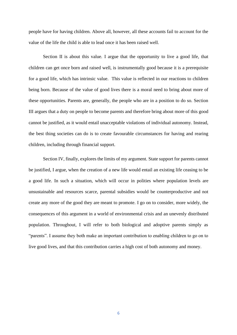people have for having children. Above all, however, all these accounts fail to account for the value of the life the child is able to lead once it has been raised well.

Section II is about this value. I argue that the opportunity to live a good life, that children can get once born and raised well, is instrumentally good because it is a prerequisite for a good life, which has intrinsic value. This value is reflected in our reactions to children being born. Because of the value of good lives there is a moral need to bring about more of these opportunities. Parents are, generally, the people who are in a position to do so. Section III argues that a duty on people to become parents and therefore bring about more of this good cannot be justified, as it would entail unacceptable violations of individual autonomy. Instead, the best thing societies can do is to create favourable circumstances for having and rearing children, including through financial support.

Section IV, finally, explores the limits of my argument. State support for parents cannot be justified, I argue, when the creation of a new life would entail an existing life ceasing to be a good life. In such a situation, which will occur in polities where population levels are unsustainable and resources scarce, parental subsidies would be counterproductive and not create any more of the good they are meant to promote. I go on to consider, more widely, the consequences of this argument in a world of environmental crisis and an unevenly distributed population. Throughout, I will refer to both biological and adoptive parents simply as "parents". I assume they both make an important contribution to enabling children to go on to live good lives, and that this contribution carries a high cost of both autonomy and money.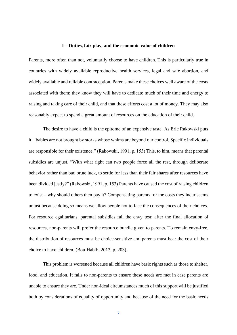#### **I – Duties, fair play, and the economic value of children**

Parents, more often than not, voluntarily choose to have children. This is particularly true in countries with widely available reproductive health services, legal and safe abortion, and widely available and reliable contraception. Parents make these choices well aware of the costs associated with them; they know they will have to dedicate much of their time and energy to raising and taking care of their child, and that these efforts cost a lot of money. They may also reasonably expect to spend a great amount of resources on the education of their child.

The desire to have a child is the epitome of an expensive taste. As Eric Rakowski puts it, "babies are not brought by storks whose whims are beyond our control. Specific individuals are responsible for their existence." (Rakowski, 1991, p. 153) This, to him, means that parental subsidies are unjust. "With what right can two people force all the rest, through deliberate behavior rather than bad brute luck, to settle for less than their fair shares after resources have been divided justly?" (Rakowski, 1991, p. 153) Parents have caused the cost of raising children to exist – why should others then pay it? Compensating parents for the costs they incur seems unjust because doing so means we allow people not to face the consequences of their choices. For resource egalitarians, parental subsidies fail the envy test; after the final allocation of resources, non-parents will prefer the resource bundle given to parents. To remain envy-free, the distribution of resources must be choice-sensitive and parents must bear the cost of their choice to have children. (Bou-Habib, 2013, p. 203).

This problem is worsened because all children have basic rights such as those to shelter, food, and education. It falls to non-parents to ensure these needs are met in case parents are unable to ensure they are. Under non-ideal circumstances much of this support will be justified both by considerations of equality of opportunity and because of the need for the basic needs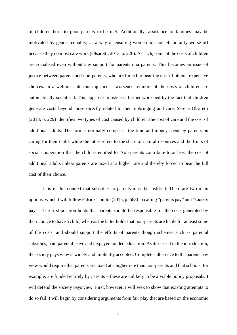of children born to poor parents to be met. Additionally, assistance to families may be motivated by gender equality, as a way of ensuring women are not left unfairly worse off because they do most care work (Olsaretti, 2013, p. 226). As such, some of the costs of children are socialised even without any support for parents qua parents. This becomes an issue of justice between parents and non-parents, who are forced to bear the cost of others' expensive choices. In a welfare state this injustice is worsened as more of the costs of children are automatically socialised. This apparent injustice is further worsened by the fact that children generate costs beyond those directly related to their upbringing and care. Serena Olsaretti (2013, p. 229) identifies two types of cost caused by children: the cost of care and the cost of additional adults. The former normally comprises the time and money spent by parents on caring for their child, while the latter refers to the share of natural resources and the fruits of social cooperation that the child is entitled to. Non-parents contribute to at least the cost of additional adults unless parents are taxed at a higher rate and thereby forced to bear the full cost of their choice.

It is in this context that subsidies to parents must be justified. There are two main options, which I will follow Patrick Tomlin (2015, p. 663) in calling "parents pay" and "society pays". The first position holds that parents should be responsible for the costs generated by their choice to have a child, whereas the latter holds that non-parents are liable for at least some of the costs, and should support the efforts of parents though schemes such as parental subsidies, paid parental leave and taxpayer-funded education. As discussed in the introduction, the society pays view is widely and implicitly accepted. Complete adherence to the parents pay view would require that parents are taxed at a higher rate than non-parents and that schools, for example, are funded entirely by parents – these are unlikely to be a viable policy proposals. I will defend the society pays view. First, however, I will seek to show that existing attempts to do so fail. I will begin by considering arguments from fair play that are based on the economic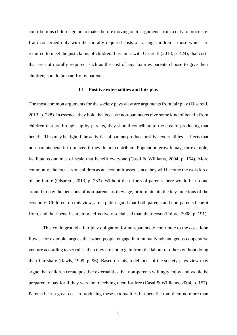contributions children go on to make, before moving on to arguments from a duty to procreate. I am concerned only with the morally required costs of raising children – those which are required to meet the just claims of children. I assume, with Olsaretti (2018, p. 424), that costs that are not morally required, such as the cost of any luxuries parents choose to give their children, should be paid for by parents.

## **I.1 – Positive externalities and fair play**

The most common arguments for the society pays view are arguments from fair play (Olsaretti, 2013, p. 228). In essence, they hold that because non-parents receive some kind of benefit from children that are brought up by parents, they should contribute to the cost of producing that benefit. This may be right if the activities of parents produce positive externalities – effects that non-parents benefit from even if they do not contribute. Population growth may, for example, facilitate economies of scale that benefit everyone (Casal & Williams, 2004, p. 154). More commonly, the focus is on children as an economic asset, since they will become the workforce of the future (Olsaretti, 2013, p. 233). Without the efforts of parents there would be no one around to pay the pensions of non-parents as they age, or to maintain the key functions of the economy. Children, on this view, are a public good that both parents and non-parents benefit from, and their benefits are more effectively socialised than their costs (Folbre, 2008, p. 191).

This could ground a fair play obligation for non-parents to contribute to the cost. John Rawls, for example, argues that when people engage in a mutually advantageous cooperative venture according to set rules, then they are not to gain from the labour of others without doing their fair share (Rawls, 1999, p. 96). Based on this, a defender of the society pays view may argue that children create positive externalities that non-parents willingly enjoy and would be prepared to pay for if they were not receiving them for free (Casal & Williams, 2004, p. 157). Parents bear a great cost in producing these externalities but benefit from them no more than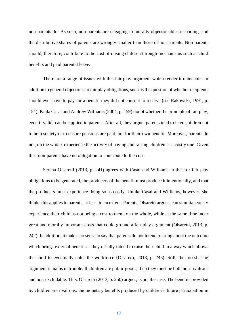non-parents do. As such, non-parents are engaging in morally objectionable free-riding, and the distributive shares of parents are wrongly smaller than those of non-parents. Non-parents should, therefore, contribute to the cost of raising children through mechanisms such as child benefits and paid parental leave.

There are a range of issues with this fair play argument which render it untenable. In addition to general objections to fair play obligations, such as the question of whether recipients should ever have to pay for a benefit they did not consent to receive (see Rakowski, 1991, p. 154), Paula Casal and Andrew Williams (2004, p. 159) doubt whether the principle of fair play, even if valid, can be applied to parents. After all, they argue, parents tend to have children not to help society or to ensure pensions are paid, but for their own benefit. Moreover, parents do not, on the whole, experience the activity of having and raising children as a costly one. Given this, non-parents have no obligation to contribute to the cost.

Serena Olsaretti (2013, p. 241) agrees with Casal and Williams in that for fair play obligations to be generated, the producers of the benefit must produce it intentionally, and that the producers must experience doing so as costly. Unlike Casal and Williams, however, she thinks this applies to parents, at least to an extent. Parents, Olsaretti argues, can simultaneously experience their child as not being a cost to them, on the whole, while at the same time incur great and morally important costs that could ground a fair play argument (Olsaretti, 2013, p. 242). In addition, it makes no sense to say that parents do not intend to bring about the outcome which brings external benefits – they usually intend to raise their child in a way which allows the child to eventually enter the workforce (Olsaretti, 2013, p. 245). Still, the pro-sharing argument remains in trouble. If children are public goods, then they must be both non-rivalrous and non-excludable. This, Olsaretti (2013, p. 250) argues, is not the case. The benefits provided by children are rivalrous; the monetary benefits produced by children's future participation in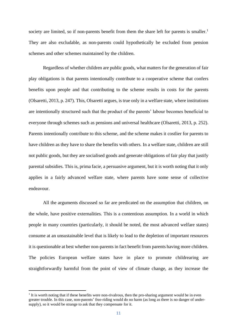society are limited, so if non-parents benefit from them the share left for parents is smaller.<sup>1</sup> They are also excludable, as non-parents could hypothetically be excluded from pension schemes and other schemes maintained by the children.

Regardless of whether children are public goods, what matters for the generation of fair play obligations is that parents intentionally contribute to a cooperative scheme that confers benefits upon people and that contributing to the scheme results in costs for the parents (Olsaretti, 2013, p. 247). This, Olsaretti argues, is true only in a welfare state, where institutions are intentionally structured such that the product of the parents' labour becomes beneficial to everyone through schemes such as pensions and universal healthcare (Olsaretti, 2013, p. 252). Parents intentionally contribute to this scheme, and the scheme makes it costlier for parents to have children as they have to share the benefits with others. In a welfare state, children are still not public goods, but they are socialised goods and generate obligations of fair play that justify parental subsidies. This is, prima facie, a persuasive argument, but it is worth noting that it only applies in a fairly advanced welfare state, where parents have some sense of collective endeavour.

All the arguments discussed so far are predicated on the assumption that children, on the whole, have positive externalities. This is a contentious assumption. In a world in which people in many countries (particularly, it should be noted, the most advanced welfare states) consume at an unsustainable level that is likely to lead to the depletion of important resources it is questionable at best whether non-parents in fact benefit from parents having more children. The policies European welfare states have in place to promote childrearing are straightforwardly harmful from the point of view of climate change, as they increase the

<sup>&</sup>lt;sup>1</sup> It is worth noting that if these benefits were non-rivalrous, then the pro-sharing argument would be in even greater trouble. In this case, non-parents' free-riding would do no harm (as long as there is no danger of undersupply), so it would be strange to ask that they compensate for it.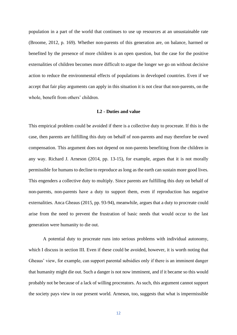population in a part of the world that continues to use up resources at an unsustainable rate (Broome, 2012, p. 169). Whether non-parents of this generation are, on balance, harmed or benefited by the presence of more children is an open question, but the case for the positive externalities of children becomes more difficult to argue the longer we go on without decisive action to reduce the environmental effects of populations in developed countries. Even if we accept that fair play arguments can apply in this situation it is not clear that non-parents, on the whole, benefit from others' children.

# **I.2 - Duties and value**

This empirical problem could be avoided if there is a collective duty to procreate. If this is the case, then parents are fulfilling this duty on behalf of non-parents and may therefore be owed compensation. This argument does not depend on non-parents benefiting from the children in any way. Richard J. Arneson (2014, pp. 13-15), for example, argues that it is not morally permissible for humans to decline to reproduce as long as the earth can sustain more good lives. This engenders a collective duty to multiply. Since parents are fulfilling this duty on behalf of non-parents, non-parents have a duty to support them, even if reproduction has negative externalities. Anca Gheaus (2015, pp. 93-94), meanwhile, argues that a duty to procreate could arise from the need to prevent the frustration of basic needs that would occur to the last generation were humanity to die out.

A potential duty to procreate runs into serious problems with individual autonomy, which I discuss in section III. Even if these could be avoided, however, it is worth noting that Gheaus' view, for example, can support parental subsidies only if there is an imminent danger that humanity might die out. Such a danger is not now imminent, and if it became so this would probably not be because of a lack of willing procreators. As such, this argument cannot support the society pays view in our present world. Arneson, too, suggests that what is impermissible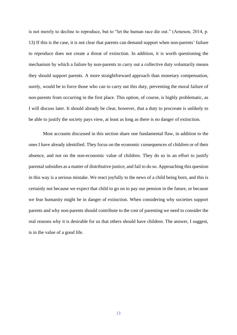is not merely to decline to reproduce, but to "let the human race die out." (Arneson, 2014, p. 13) If this is the case, it is not clear that parents can demand support when non-parents' failure to reproduce does not create a threat of extinction. In addition, it is worth questioning the mechanism by which a failure by non-parents to carry out a collective duty voluntarily means they should support parents. A more straightforward approach than monetary compensation, surely, would be to force those who can to carry out this duty, preventing the moral failure of non-parents from occurring in the first place. This option, of course, is highly problematic, as I will discuss later. It should already be clear, however, that a duty to procreate is unlikely to be able to justify the society pays view, at least as long as there is no danger of extinction.

Most accounts discussed in this section share one fundamental flaw, in addition to the ones I have already identified. They focus on the economic consequences of children or of their absence, and not on the non-economic value of children. They do so in an effort to justify parental subsidies as a matter of distributive justice, and fail to do so. Approaching this question in this way is a serious mistake. We react joyfully to the news of a child being born, and this is certainly not because we expect that child to go on to pay our pension in the future, or because we fear humanity might be in danger of extinction. When considering why societies support parents and why non-parents should contribute to the cost of parenting we need to consider the real reasons why it is desirable for us that others should have children. The answer, I suggest, is in the value of a good life.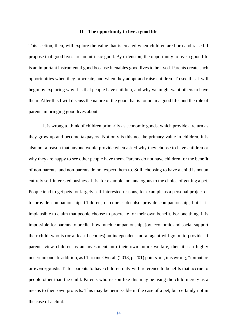## **II – The opportunity to live a good life**

This section, then, will explore the value that is created when children are born and raised. I propose that good lives are an intrinsic good. By extension, the opportunity to live a good life is an important instrumental good because it enables good lives to be lived. Parents create such opportunities when they procreate, and when they adopt and raise children. To see this, I will begin by exploring why it is that people have children, and why we might want others to have them. After this I will discuss the nature of the good that is found in a good life, and the role of parents in bringing good lives about.

It is wrong to think of children primarily as economic goods, which provide a return as they grow up and become taxpayers. Not only is this not the primary value in children, it is also not a reason that anyone would provide when asked why they choose to have children or why they are happy to see other people have them. Parents do not have children for the benefit of non-parents, and non-parents do not expect them to. Still, choosing to have a child is not an entirely self-interested business. It is, for example, not analogous to the choice of getting a pet. People tend to get pets for largely self-interested reasons, for example as a personal project or to provide companionship. Children, of course, do also provide companionship, but it is implausible to claim that people choose to procreate for their own benefit. For one thing, it is impossible for parents to predict how much companionship, joy, economic and social support their child, who is (or at least becomes) an independent moral agent will go on to provide. If parents view children as an investment into their own future welfare, then it is a highly uncertain one. In addition, as Christine Overall (2018, p. 201) points out, it is wrong, "immature or even egotistical" for parents to have children only with reference to benefits that accrue to people other than the child. Parents who reason like this may be using the child merely as a means to their own projects. This may be permissible in the case of a pet, but certainly not in the case of a child.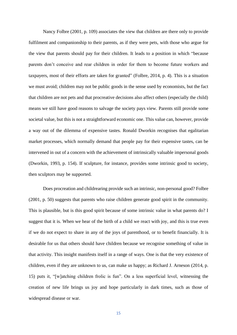Nancy Folbre (2001, p. 109) associates the view that children are there only to provide fulfilment and companionship to their parents, as if they were pets, with those who argue for the view that parents should pay for their children. It leads to a position in which "because parents don't conceive and rear children in order for them to become future workers and taxpayers, most of their efforts are taken for granted" (Folbre, 2014, p. 4). This is a situation we must avoid; children may not be public goods in the sense used by economists, but the fact that children are not pets and that procreative decisions also affect others (especially the child) means we still have good reasons to salvage the society pays view. Parents still provide some societal value, but this is not a straightforward economic one. This value can, however, provide a way out of the dilemma of expensive tastes. Ronald Dworkin recognises that egalitarian market processes, which normally demand that people pay for their expensive tastes, can be intervened in out of a concern with the achievement of intrinsically valuable impersonal goods (Dworkin, 1993, p. 154). If sculpture, for instance, provides some intrinsic good to society, then sculptors may be supported.

Does procreation and childrearing provide such an intrinsic, non-personal good? Folbre (2001, p. 50) suggests that parents who raise children generate good spirit in the community. This is plausible, but is this good spirit because of some intrinsic value in what parents do? I suggest that it is. When we hear of the birth of a child we react with joy, and this is true even if we do not expect to share in any of the joys of parenthood, or to benefit financially. It is desirable for us that others should have children because we recognise something of value in that activity. This insight manifests itself in a range of ways. One is that the very existence of children, even if they are unknown to us, can make us happy; as Richard J. Arneson (2014, p. 15) puts it, "[w]atching children frolic is fun". On a less superficial level, witnessing the creation of new life brings us joy and hope particularly in dark times, such as those of widespread disease or war.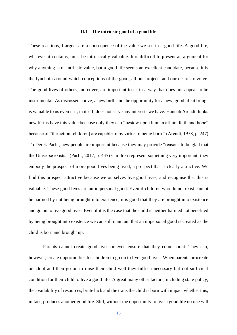#### **II.1 - The intrinsic good of a good life**

These reactions, I argue, are a consequence of the value we see in a good life. A good life, whatever it contains, must be intrinsically valuable. It is difficult to present an argument for why anything is of intrinsic value, but a good life seems an excellent candidate, because it is the lynchpin around which conceptions of the good, all our projects and our desires revolve. The good lives of others, moreover, are important to us in a way that does not appear to be instrumental. As discussed above, a new birth and the opportunity for a new, good life it brings is valuable to us even if it, in itself, does not serve any interests we have. Hannah Arendt thinks new births have this value because only they can "bestow upon human affairs faith and hope" because of "the action [children] are capable of by virtue of being born." (Arendt, 1958, p. 247) To Derek Parfit, new people are important because they may provide "reasons to be glad that the Universe exists." (Parfit, 2017, p. 437) Children represent something very important; they embody the prospect of more good lives being lived, a prospect that is clearly attractive. We find this prospect attractive because we ourselves live good lives, and recognise that this is valuable. These good lives are an impersonal good. Even if children who do not exist cannot be harmed by not being brought into existence, it is good that they are brought into existence and go on to live good lives. Even if it is the case that the child is neither harmed not benefited by being brought into existence we can still maintain that an impersonal good is created as the child is born and brought up.

Parents cannot create good lives or even ensure that they come about. They can, however, create opportunities for children to go on to live good lives. When parents procreate or adopt and then go on to raise their child well they fulfil a necessary but not sufficient condition for their child to live a good life. A great many other factors, including state policy, the availability of resources, brute luck and the traits the child is born with impact whether this, in fact, produces another good life. Still, without the opportunity to live a good life no one will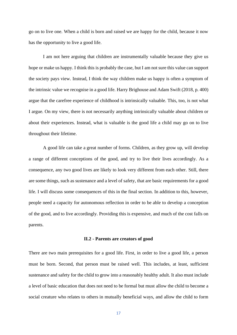go on to live one. When a child is born and raised we are happy for the child, because it now has the opportunity to live a good life.

I am not here arguing that children are instrumentally valuable because they give us hope or make us happy. I think this is probably the case, but I am not sure this value can support the society pays view. Instead, I think the way children make us happy is often a symptom of the intrinsic value we recognise in a good life. Harry Brighouse and Adam Swift (2018, p. 400) argue that the carefree experience of childhood is intrinsically valuable. This, too, is not what I argue. On my view, there is not necessarily anything intrinsically valuable about children or about their experiences. Instead, what is valuable is the good life a child may go on to live throughout their lifetime.

A good life can take a great number of forms. Children, as they grow up, will develop a range of different conceptions of the good, and try to live their lives accordingly. As a consequence, any two good lives are likely to look very different from each other. Still, there are some things, such as sustenance and a level of safety, that are basic requirements for a good life. I will discuss some consequences of this in the final section. In addition to this, however, people need a capacity for autonomous reflection in order to be able to develop a conception of the good, and to live accordingly. Providing this is expensive, and much of the cost falls on parents.

#### **II.2 - Parents are creators of good**

There are two main prerequisites for a good life. First, in order to live a good life, a person must be born. Second, that person must be raised well. This includes, at least, sufficient sustenance and safety for the child to grow into a reasonably healthy adult. It also must include a level of basic education that does not need to be formal but must allow the child to become a social creature who relates to others in mutually beneficial ways, and allow the child to form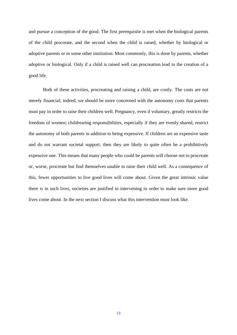and pursue a conception of the good. The first prerequisite is met when the biological parents of the child procreate, and the second when the child is raised, whether by biological or adoptive parents or in some other institution. Most commonly, this is done by parents, whether adoptive or biological. Only if a child is raised well can procreation lead to the creation of a good life.

Both of these activities, procreating and raising a child, are costly. The costs are not merely financial; indeed, we should be more concerned with the autonomy costs that parents must pay in order to raise their children well. Pregnancy, even if voluntary, greatly restricts the freedom of women; childrearing responsibilities, especially if they are evenly shared, restrict the autonomy of both parents in addition to being expensive. If children are an expensive taste and do not warrant societal support, then they are likely to quite often be a prohibitively expensive one. This means that many people who could be parents will choose not to procreate or, worse, procreate but find themselves unable to raise their child well. As a consequence of this, fewer opportunities to live good lives will come about. Given the great intrinsic value there is in such lives, societies are justified in intervening in order to make sure more good lives come about. In the next section I discuss what this intervention must look like.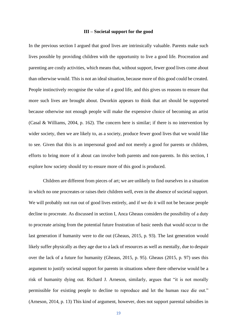#### **III – Societal support for the good**

In the previous section I argued that good lives are intrinsically valuable. Parents make such lives possible by providing children with the opportunity to live a good life. Procreation and parenting are costly activities, which means that, without support, fewer good lives come about than otherwise would. This is not an ideal situation, because more of this good could be created. People instinctively recognise the value of a good life, and this gives us reasons to ensure that more such lives are brought about. Dworkin appears to think that art should be supported because otherwise not enough people will make the expensive choice of becoming an artist (Casal & Williams, 2004, p. 162). The concern here is similar; if there is no intervention by wider society, then we are likely to, as a society, produce fewer good lives that we would like to see. Given that this is an impersonal good and not merely a good for parents or children, efforts to bring more of it about can involve both parents and non-parents. In this section, I explore how society should try to ensure more of this good is produced.

Children are different from pieces of art; we are unlikely to find ourselves in a situation in which no one procreates or raises their children well, even in the absence of societal support. We will probably not run out of good lives entirely, and if we do it will not be because people decline to procreate. As discussed in section I, Anca Gheaus considers the possibility of a duty to procreate arising from the potential future frustration of basic needs that would occur to the last generation if humanity were to die out (Gheaus, 2015, p. 93). The last generation would likely suffer physically as they age due to a lack of resources as well as mentally, due to despair over the lack of a future for humanity (Gheaus, 2015, p. 95). Gheaus (2015, p. 97) uses this argument to justify societal support for parents in situations where there otherwise would be a risk of humanity dying out. Richard J. Arneson, similarly, argues that "it is not morally permissible for existing people to decline to reproduce and let the human race die out." (Arneson, 2014, p. 13) This kind of argument, however, does not support parental subsidies in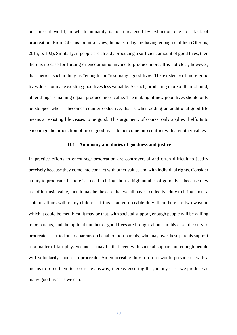our present world, in which humanity is not threatened by extinction due to a lack of procreation. From Gheaus' point of view, humans today are having enough children (Gheaus, 2015, p. 102). Similarly, if people are already producing a sufficient amount of good lives, then there is no case for forcing or encouraging anyone to produce more. It is not clear, however, that there is such a thing as "enough" or "too many" good lives. The existence of more good lives does not make existing good lives less valuable. As such, producing more of them should, other things remaining equal, produce more value. The making of new good lives should only be stopped when it becomes counterproductive, that is when adding an additional good life means an existing life ceases to be good. This argument, of course, only applies if efforts to encourage the production of more good lives do not come into conflict with any other values.

## **III.1 - Autonomy and duties of goodness and justice**

In practice efforts to encourage procreation are controversial and often difficult to justify precisely because they come into conflict with other values and with individual rights. Consider a duty to procreate. If there is a need to bring about a high number of good lives because they are of intrinsic value, then it may be the case that we all have a collective duty to bring about a state of affairs with many children. If this is an enforceable duty, then there are two ways in which it could be met. First, it may be that, with societal support, enough people will be willing to be parents, and the optimal number of good lives are brought about. In this case, the duty to procreate is carried out by parents on behalf of non-parents, who may owe these parents support as a matter of fair play. Second, it may be that even with societal support not enough people will voluntarily choose to procreate. An enforceable duty to do so would provide us with a means to force them to procreate anyway, thereby ensuring that, in any case, we produce as many good lives as we can.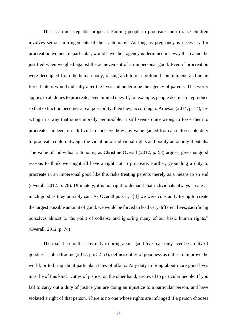This is an unacceptable proposal. Forcing people to procreate and to raise children involves serious infringements of their autonomy. As long as pregnancy is necessary for procreation women, in particular, would have their agency undermined in a way that cannot be justified when weighed against the achievement of an impersonal good. Even if procreation were decoupled from the human body, raising a child is a profound commitment, and being forced into it would radically alter the lives and undermine the agency of parents. This worry applies to all duties to procreate, even limited ones. If, for example, people decline to reproduce so that extinction becomes a real possibility, then they, according to Arneson (2014, p. 14), are acting in a way that is not morally permissible. It still seems quite wrong to force them to procreate – indeed, it is difficult to conceive how any value gained from an enforceable duty to procreate could outweigh the violation of individual rights and bodily autonomy it entails. The value of individual autonomy, as Christine Overall (2012, p. 58) argues, gives us good reasons to think we might all have a right not to procreate. Further, grounding a duty to procreate in an impersonal good like this risks treating parents merely as a means to an end (Overall, 2012, p. 70). Ultimately, it is not right to demand that individuals always create as much good as they possibly can. As Overall puts it, "[if] we were constantly trying to create the largest possible amount of good, we would be forced to lead very different lives, sacrificing ourselves almost to the point of collapse and ignoring many of our basic human rights." (Overall, 2012, p. 74)

The issue here is that any duty to bring about good lives can only ever be a duty of goodness. John Broome (2012, pp. 52-53), defines duties of goodness as duties to improve the world, or to bring about particular states of affairs. Any duty to bring about more good lives must be of this kind. Duties of justice, on the other hand, are owed to particular people. If you fail to carry out a duty of justice you are doing an injustice to a particular person, and have violated a right of that person. There is no one whose rights are infringed if a person chooses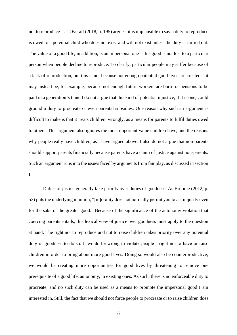not to reproduce – as Overall (2018, p. 195) argues, it is implausible to say a duty to reproduce is owed to a potential child who does not exist and will not exist unless the duty is carried out. The value of a good life, in addition, is an impersonal one – this good is not lost to a particular person when people decline to reproduce. To clarify, particular people may suffer because of a lack of reproduction, but this is not because not enough potential good lives are created – it may instead be, for example, because not enough future workers are born for pensions to be paid in a generation's time. I do not argue that this kind of potential injustice, if it is one, could ground a duty to procreate or even parental subsidies. One reason why such an argument is difficult to make is that it treats children, wrongly, as a means for parents to fulfil duties owed to others. This argument also ignores the most important value children have, and the reasons why people really have children, as I have argued above. I also do not argue that non-parents should support parents financially because parents have a claim of justice against non-parents. Such an argument runs into the issues faced by arguments from fair play, as discussed in section I.

Duties of justice generally take priority over duties of goodness. As Broome (2012, p. 53) puts the underlying intuition, "[m]orality does not normally permit you to act unjustly even for the sake of the greater good." Because of the significance of the autonomy violation that coercing parents entails, this lexical view of justice over goodness must apply to the question at hand. The right not to reproduce and not to raise children takes priority over any potential duty of goodness to do so. It would be wrong to violate people's right not to have or raise children in order to bring about more good lives. Doing so would also be counterproductive; we would be creating more opportunities for good lives by threatening to remove one prerequisite of a good life, autonomy, in existing ones. As such, there is no enforceable duty to procreate, and no such duty can be used as a means to promote the impersonal good I am interested in. Still, the fact that we should not force people to procreate or to raise children does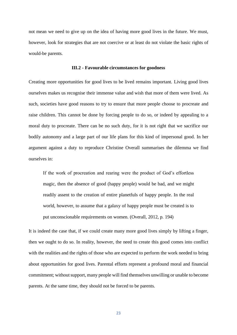not mean we need to give up on the idea of having more good lives in the future. We must, however, look for strategies that are not coercive or at least do not violate the basic rights of would-be parents.

#### **III.2 - Favourable circumstances for goodness**

Creating more opportunities for good lives to be lived remains important. Living good lives ourselves makes us recognise their immense value and wish that more of them were lived. As such, societies have good reasons to try to ensure that more people choose to procreate and raise children. This cannot be done by forcing people to do so, or indeed by appealing to a moral duty to procreate. There can be no such duty, for it is not right that we sacrifice our bodily autonomy and a large part of our life plans for this kind of impersonal good. In her argument against a duty to reproduce Christine Overall summarises the dilemma we find ourselves in:

If the work of procreation and rearing were the product of God's effortless magic, then the absence of good (happy people) would be bad, and we might readily assent to the creation of entire planetfuls of happy people. In the real world, however, to assume that a galaxy of happy people must be created is to put unconscionable requirements on women. (Overall, 2012, p. 194)

It is indeed the case that, if we could create many more good lives simply by lifting a finger, then we ought to do so. In reality, however, the need to create this good comes into conflict with the realities and the rights of those who are expected to perform the work needed to bring about opportunities for good lives. Parental efforts represent a profound moral and financial commitment; without support, many people will find themselves unwilling or unable to become parents. At the same time, they should not be forced to be parents.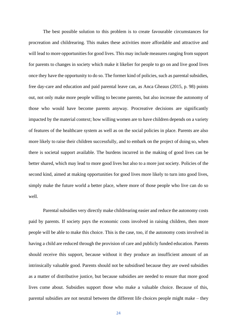The best possible solution to this problem is to create favourable circumstances for procreation and childrearing. This makes these activities more affordable and attractive and will lead to more opportunities for good lives. This may include measures ranging from support for parents to changes in society which make it likelier for people to go on and live good lives once they have the opportunity to do so. The former kind of policies, such as parental subsidies, free day-care and education and paid parental leave can, as Anca Gheaus (2015, p. 98) points out, not only make more people willing to become parents, but also increase the autonomy of those who would have become parents anyway. Procreative decisions are significantly impacted by the material context; how willing women are to have children depends on a variety of features of the healthcare system as well as on the social policies in place. Parents are also more likely to raise their children successfully, and to embark on the project of doing so, when there is societal support available. The burdens incurred in the making of good lives can be better shared, which may lead to more good lives but also to a more just society. Policies of the second kind, aimed at making opportunities for good lives more likely to turn into good lives, simply make the future world a better place, where more of those people who live can do so well.

Parental subsidies very directly make childrearing easier and reduce the autonomy costs paid by parents. If society pays the economic costs involved in raising children, then more people will be able to make this choice. This is the case, too, if the autonomy costs involved in having a child are reduced through the provision of care and publicly funded education. Parents should receive this support, because without it they produce an insufficient amount of an intrinsically valuable good. Parents should not be subsidised because they are owed subsidies as a matter of distributive justice, but because subsidies are needed to ensure that more good lives come about. Subsidies support those who make a valuable choice. Because of this, parental subsidies are not neutral between the different life choices people might make – they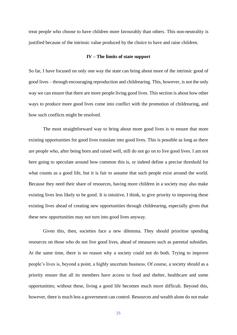treat people who choose to have children more favourably than others. This non-neutrality is justified because of the intrinsic value produced by the choice to have and raise children.

# **IV – The limits of state support**

So far, I have focused on only one way the state can bring about more of the intrinsic good of good lives – through encouraging reproduction and childrearing. This, however, is not the only way we can ensure that there are more people living good lives. This section is about how other ways to produce more good lives come into conflict with the promotion of childrearing, and how such conflicts might be resolved.

The most straightforward way to bring about more good lives is to ensure that more existing opportunities for good lives translate into good lives. This is possible as long as there are people who, after being born and raised well, still do not go on to live good lives. I am not here going to speculate around how common this is, or indeed define a precise threshold for what counts as a good life, but it is fair to assume that such people exist around the world. Because they need their share of resources, having more children in a society may also make existing lives less likely to be good. It is intuitive, I think, to give priority to improving these existing lives ahead of creating new opportunities through childrearing, especially given that these new opportunities may not turn into good lives anyway.

Given this, then, societies face a new dilemma. They should prioritise spending resources on those who do not live good lives, ahead of measures such as parental subsidies. At the same time, there is no reason why a society could not do both. Trying to improve people's lives is, beyond a point, a highly uncertain business. Of course, a society should as a priority ensure that all its members have access to food and shelter, healthcare and some opportunities; without these, living a good life becomes much more difficult. Beyond this, however, there is much less a government can control. Resources and wealth alone do not make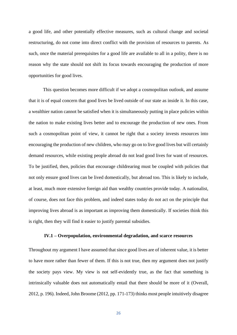a good life, and other potentially effective measures, such as cultural change and societal restructuring, do not come into direct conflict with the provision of resources to parents. As such, once the material prerequisites for a good life are available to all in a polity, there is no reason why the state should not shift its focus towards encouraging the production of more opportunities for good lives.

This question becomes more difficult if we adopt a cosmopolitan outlook, and assume that it is of equal concern that good lives be lived outside of our state as inside it. In this case, a wealthier nation cannot be satisfied when it is simultaneously putting in place policies within the nation to make existing lives better and to encourage the production of new ones. From such a cosmopolitan point of view, it cannot be right that a society invests resources into encouraging the production of new children, who may go on to live good lives but will certainly demand resources, while existing people abroad do not lead good lives for want of resources. To be justified, then, policies that encourage childrearing must be coupled with policies that not only ensure good lives can be lived domestically, but abroad too. This is likely to include, at least, much more extensive foreign aid than wealthy countries provide today. A nationalist, of course, does not face this problem, and indeed states today do not act on the principle that improving lives abroad is as important as improving them domestically. If societies think this is right, then they will find it easier to justify parental subsidies.

## **IV.1 – Overpopulation, environmental degradation, and scarce resources**

Throughout my argument I have assumed that since good lives are of inherent value, it is better to have more rather than fewer of them. If this is not true, then my argument does not justify the society pays view. My view is not self-evidently true, as the fact that something is intrinsically valuable does not automatically entail that there should be more of it (Overall, 2012, p. 196). Indeed,John Broome (2012, pp. 171-173) thinks most people intuitively disagree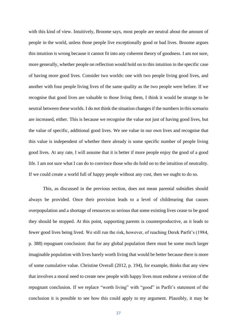with this kind of view. Intuitively, Broome says, most people are neutral about the amount of people in the world, unless those people live exceptionally good or bad lives. Broome argues this intuition is wrong because it cannot fit into any coherent theory of goodness. I am not sure, more generally, whether people on reflection would hold on to this intuition in the specific case of having more good lives. Consider two worlds: one with two people living good lives, and another with four people living lives of the same quality as the two people were before. If we recognise that good lives are valuable to those living them, I think it would be strange to be neutral between these worlds. I do not think the situation changes if the numbers in this scenario are increased, either. This is because we recognise the value not just of having good lives, but the value of specific, additional good lives. We see value in our own lives and recognise that this value is independent of whether there already is some specific number of people living good lives. At any rate, I will assume that it is better if more people enjoy the good of a good life. I am not sure what I can do to convince those who do hold on to the intuition of neutrality. If we could create a world full of happy people without any cost, then we ought to do so.

This, as discussed in the previous section, does not mean parental subsidies should always be provided. Once their provision leads to a level of childrearing that causes overpopulation and a shortage of resources so serious that some existing lives cease to be good they should be stopped. At this point, supporting parents is counterproductive, as it leads to fewer good lives being lived. We still run the risk, however, of reaching Derek Parfit's (1984, p. 388) repugnant conclusion: that for any global population there must be some much larger imaginable population with lives barely worth living that would be better because there is more of some cumulative value. Christine Overall (2012, p. 194), for example, thinks that any view that involves a moral need to create new people with happy lives must endorse a version of the repugnant conclusion. If we replace "worth living" with "good" in Parfit's statement of the conclusion it is possible to see how this could apply to my argument. Plausibly, it may be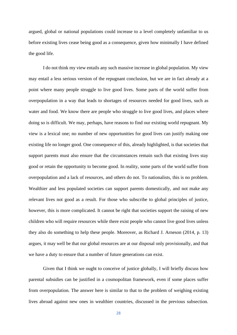argued, global or national populations could increase to a level completely unfamiliar to us before existing lives cease being good as a consequence, given how minimally I have defined the good life.

I do not think my view entails any such massive increase in global population. My view may entail a less serious version of the repugnant conclusion, but we are in fact already at a point where many people struggle to live good lives. Some parts of the world suffer from overpopulation in a way that leads to shortages of resources needed for good lives, such as water and food. We know there are people who struggle to live good lives, and places where doing so is difficult. We may, perhaps, have reasons to find our existing world repugnant. My view is a lexical one; no number of new opportunities for good lives can justify making one existing life no longer good. One consequence of this, already highlighted, is that societies that support parents must also ensure that the circumstances remain such that existing lives stay good or retain the opportunity to become good. In reality, some parts of the world suffer from overpopulation and a lack of resources, and others do not. To nationalists, this is no problem. Wealthier and less populated societies can support parents domestically, and not make any relevant lives not good as a result. For those who subscribe to global principles of justice, however, this is more complicated. It cannot be right that societies support the raising of new children who will require resources while there exist people who cannot live good lives unless they also do something to help these people. Moreover, as Richard J. Arneson (2014, p. 13) argues, it may well be that our global resources are at our disposal only provisionally, and that we have a duty to ensure that a number of future generations can exist.

Given that I think we ought to conceive of justice globally, I will briefly discuss how parental subsidies can be justified in a cosmopolitan framework, even if some places suffer from overpopulation. The answer here is similar to that to the problem of weighing existing lives abroad against new ones in wealthier countries, discussed in the previous subsection.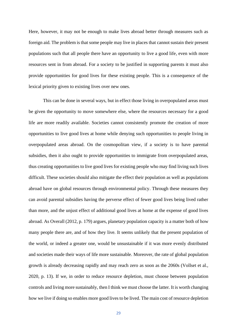Here, however, it may not be enough to make lives abroad better through measures such as foreign aid. The problem is that some people may live in places that cannot sustain their present populations such that all people there have an opportunity to live a good life, even with more resources sent in from abroad. For a society to be justified in supporting parents it must also provide opportunities for good lives for these existing people. This is a consequence of the lexical priority given to existing lives over new ones.

This can be done in several ways, but in effect those living in overpopulated areas must be given the opportunity to move somewhere else, where the resources necessary for a good life are more readily available. Societies cannot consistently promote the creation of more opportunities to live good lives at home while denying such opportunities to people living in overpopulated areas abroad. On the cosmopolitan view, if a society is to have parental subsidies, then it also ought to provide opportunities to immigrate from overpopulated areas, thus creating opportunities to live good lives for existing people who may find living such lives difficult. These societies should also mitigate the effect their population as well as populations abroad have on global resources through environmental policy. Through these measures they can avoid parental subsidies having the perverse effect of fewer good lives being lived rather than more, and the unjust effect of additional good lives at home at the expense of good lives abroad. As Overall (2012, p. 179) argues, planetary population capacity is a matter both of how many people there are, and of how they live. It seems unlikely that the present population of the world, or indeed a greater one, would be unsustainable if it was more evenly distributed and societies made their ways of life more sustainable. Moreover, the rate of global population growth is already decreasing rapidly and may reach zero as soon as the 2060s (Vollset et al., 2020, p. 13). If we, in order to reduce resource depletion, must choose between population controls and living more sustainably, then I think we must choose the latter. It is worth changing how we live if doing so enables more good lives to be lived. The main cost of resource depletion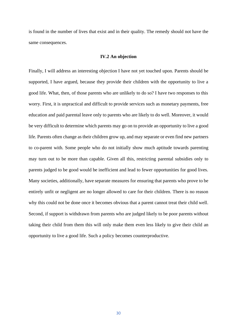is found in the number of lives that exist and in their quality. The remedy should not have the same consequences.

#### **IV.2 An objection**

Finally, I will address an interesting objection I have not yet touched upon. Parents should be supported, I have argued, because they provide their children with the opportunity to live a good life. What, then, of those parents who are unlikely to do so? I have two responses to this worry. First, it is unpractical and difficult to provide services such as monetary payments, free education and paid parental leave only to parents who are likely to do well. Moreover, it would be very difficult to determine which parents may go on to provide an opportunity to live a good life. Parents often change as their children grow up, and may separate or even find new partners to co-parent with. Some people who do not initially show much aptitude towards parenting may turn out to be more than capable. Given all this, restricting parental subsidies only to parents judged to be good would be inefficient and lead to fewer opportunities for good lives. Many societies, additionally, have separate measures for ensuring that parents who prove to be entirely unfit or negligent are no longer allowed to care for their children. There is no reason why this could not be done once it becomes obvious that a parent cannot treat their child well. Second, if support is withdrawn from parents who are judged likely to be poor parents without taking their child from them this will only make them even less likely to give their child an opportunity to live a good life. Such a policy becomes counterproductive.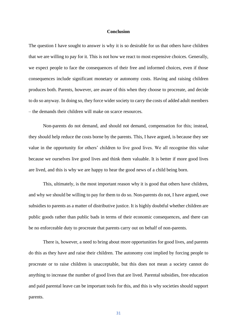#### **Conclusion**

The question I have sought to answer is why it is so desirable for us that others have children that we are willing to pay for it. This is not how we react to most expensive choices. Generally, we expect people to face the consequences of their free and informed choices, even if those consequences include significant monetary or autonomy costs. Having and raising children produces both. Parents, however, are aware of this when they choose to procreate, and decide to do so anyway. In doing so, they force wider society to carry the costs of added adult members – the demands their children will make on scarce resources.

Non-parents do not demand, and should not demand, compensation for this; instead, they should help reduce the costs borne by the parents. This, I have argued, is because they see value in the opportunity for others' children to live good lives. We all recognise this value because we ourselves live good lives and think them valuable. It is better if more good lives are lived, and this is why we are happy to hear the good news of a child being born.

This, ultimately, is the most important reason why it is good that others have children, and why we should be willing to pay for them to do so. Non-parents do not, I have argued, owe subsidies to parents as a matter of distributive justice. It is highly doubtful whether children are public goods rather than public bads in terms of their economic consequences, and there can be no enforceable duty to procreate that parents carry out on behalf of non-parents.

There is, however, a need to bring about more opportunities for good lives, and parents do this as they have and raise their children. The autonomy cost implied by forcing people to procreate or to raise children is unacceptable, but this does not mean a society cannot do anything to increase the number of good lives that are lived. Parental subsidies, free education and paid parental leave can be important tools for this, and this is why societies should support parents.

31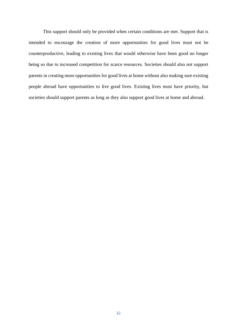This support should only be provided when certain conditions are met. Support that is intended to encourage the creation of more opportunities for good lives must not be counterproductive, leading to existing lives that would otherwise have been good no longer being so due to increased competition for scarce resources. Societies should also not support parents in creating more opportunities for good lives at home without also making sure existing people abroad have opportunities to live good lives. Existing lives must have priority, but societies should support parents as long as they also support good lives at home and abroad.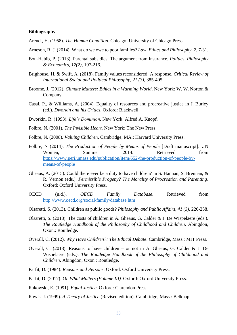## **Bibliography**

- Arendt, H. (1958). *The Human Condition*. Chicago: University of Chicago Press.
- Arneson, R. J. (2014). What do we owe to poor families? *Law, Ethics and Philosophy, 2*, 7-31.
- Bou-Habib, P. (2013). Parental subsidies: The argument from insurance. *Politics, Philosophy & Economics, 12(2),* 197-216.
- Brighouse, H. & Swift, A. (2018). Family values reconsidered: A response. *Critical Review of International Social and Political Philosophy, 21 (3),* 385-405.
- Broome, J. (2012). *Climate Matters: Ethics in a Warming World*. New York: W. W. Norton & Company.
- Casal, P., & Williams, A. (2004). Equality of resources and procreative justice in J. Burley (ed.). *Dworkin and his Critics*. Oxford: Blackwell.
- Dworkin, R. (1993). *Life's Dominion*. New York: Alfred A. Knopf.
- Folbre, N. (2001). *The Invisible Heart*. New York: The New Press.
- Folbre, N. (2008). *Valuing Children*. Cambridge, MA.: Harvard University Press.
- Folbre, N (2014). *The Production of People by Means of People* [Draft manuscript]. UN Women, Summer 2014. Retrieved from [https://www.peri.umass.edu/publication/item/652-the-production-of-people-by](https://www.peri.umass.edu/publication/item/652-the-production-of-people-by-means-of-people)[means-of-people](https://www.peri.umass.edu/publication/item/652-the-production-of-people-by-means-of-people)
- Gheaus, A. (2015). Could there ever be a duty to have children? In S. Hannan, S. Brennan, & R. Vernon (eds.). *Permissible Progeny? The Morality of Procreation and Parenting*. Oxford: Oxford University Press.
- OECD (n.d.). *OECD Family Database*. Retrieved from <http://www.oecd.org/social/family/database.htm>
- Olsaretti, S. (2013). Children as public goods? *Philosophy and Public Affairs, 41 (3),* 226-258.
- Olsaretti, S. (2018). The costs of children in A. Gheaus, G. Calder & J. De Wispelaere (eds.). *The Routledge Handbook of the Philosophy of Childhood and Children*. Abingdon, Oxon.: Routledge.
- Overall, C. (2012). *Why Have Children?: The Ethical Debate*. Cambridge, Mass.: MIT Press.
- Overall, C. (2018). Reasons to have children or not in A. Gheaus, G. Calder & J. De Wispelaere (eds.). *The Routledge Handbook of the Philosophy of Childhood and Children*. Abingdon, Oxon.: Routledge.
- Parfit, D. (1984). *Reasons and Persons*. Oxford: Oxford University Press.
- Parfit, D. (2017). *On What Matters (Volume III).* Oxford: Oxford University Press.
- Rakowski, E. (1991). *Equal Justice*. Oxford: Clarendon Press.
- Rawls, J. (1999). *A Theory of Justice* (Revised edition). Cambridge, Mass.: Belknap.